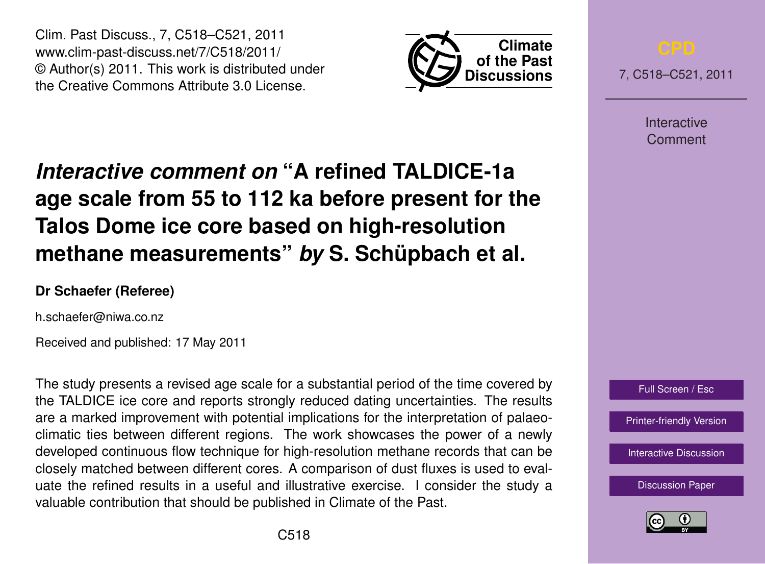Clim. Past Discuss., 7, C518–C521, 2011 www.clim-past-discuss.net/7/C518/2011/ © Author(s) 2011. This work is distributed under the Creative Commons Attribute 3.0 License.



7, C518–C521, 2011

Interactive Comment

## *Interactive comment on* **"A refined TALDICE-1a age scale from 55 to 112 ka before present for the Talos Dome ice core based on high-resolution methane measurements"** *by* **S. Schüpbach et al.**

## **Dr Schaefer (Referee)**

h.schaefer@niwa.co.nz

Received and published: 17 May 2011

The study presents a revised age scale for a substantial period of the time covered by the TALDICE ice core and reports strongly reduced dating uncertainties. The results are a marked improvement with potential implications for the interpretation of palaeoclimatic ties between different regions. The work showcases the power of a newly developed continuous flow technique for high-resolution methane records that can be closely matched between different cores. A comparison of dust fluxes is used to evaluate the refined results in a useful and illustrative exercise. I consider the study a valuable contribution that should be published in Climate of the Past.



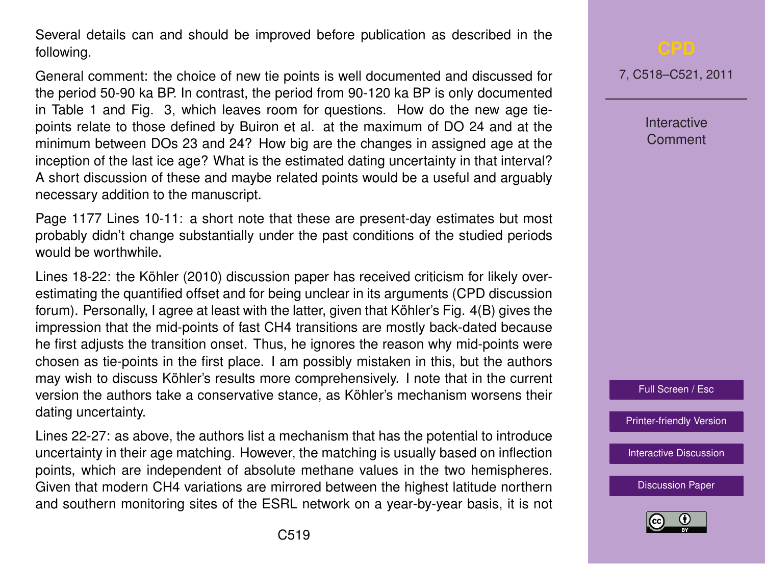Several details can and should be improved before publication as described in the following.

General comment: the choice of new tie points is well documented and discussed for the period 50-90 ka BP. In contrast, the period from 90-120 ka BP is only documented in Table 1 and Fig. 3, which leaves room for questions. How do the new age tiepoints relate to those defined by Buiron et al. at the maximum of DO 24 and at the minimum between DOs 23 and 24? How big are the changes in assigned age at the inception of the last ice age? What is the estimated dating uncertainty in that interval? A short discussion of these and maybe related points would be a useful and arguably necessary addition to the manuscript.

Page 1177 Lines 10-11: a short note that these are present-day estimates but most probably didn't change substantially under the past conditions of the studied periods would be worthwhile.

Lines 18-22: the Köhler (2010) discussion paper has received criticism for likely overestimating the quantified offset and for being unclear in its arguments (CPD discussion forum). Personally, I agree at least with the latter, given that Köhler's Fig. 4(B) gives the impression that the mid-points of fast CH4 transitions are mostly back-dated because he first adjusts the transition onset. Thus, he ignores the reason why mid-points were chosen as tie-points in the first place. I am possibly mistaken in this, but the authors may wish to discuss Köhler's results more comprehensively. I note that in the current version the authors take a conservative stance, as Köhler's mechanism worsens their dating uncertainty.

Lines 22-27: as above, the authors list a mechanism that has the potential to introduce uncertainty in their age matching. However, the matching is usually based on inflection points, which are independent of absolute methane values in the two hemispheres. Given that modern CH4 variations are mirrored between the highest latitude northern and southern monitoring sites of the ESRL network on a year-by-year basis, it is not 7, C518–C521, 2011

**Interactive Comment** 



[Printer-friendly Version](http://www.clim-past-discuss.net/7/C518/2011/cpd-7-C518-2011-print.pdf)

[Interactive Discussion](http://www.clim-past-discuss.net/7/1175/2011/cpd-7-1175-2011-discussion.html)

[Discussion Paper](http://www.clim-past-discuss.net/7/1175/2011/cpd-7-1175-2011.pdf)

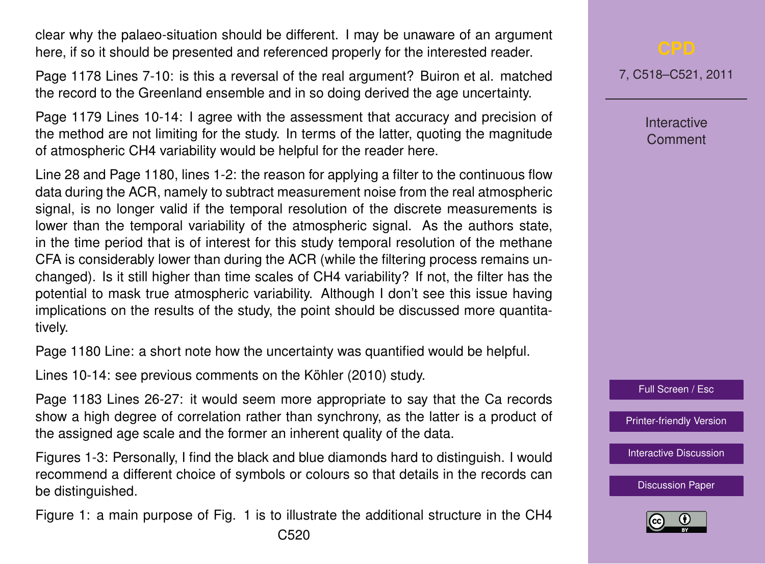clear why the palaeo-situation should be different. I may be unaware of an argument here, if so it should be presented and referenced properly for the interested reader.

Page 1178 Lines 7-10: is this a reversal of the real argument? Buiron et al. matched the record to the Greenland ensemble and in so doing derived the age uncertainty.

Page 1179 Lines 10-14: I agree with the assessment that accuracy and precision of the method are not limiting for the study. In terms of the latter, quoting the magnitude of atmospheric CH4 variability would be helpful for the reader here.

Line 28 and Page 1180, lines 1-2: the reason for applying a filter to the continuous flow data during the ACR, namely to subtract measurement noise from the real atmospheric signal, is no longer valid if the temporal resolution of the discrete measurements is lower than the temporal variability of the atmospheric signal. As the authors state, in the time period that is of interest for this study temporal resolution of the methane CFA is considerably lower than during the ACR (while the filtering process remains unchanged). Is it still higher than time scales of CH4 variability? If not, the filter has the potential to mask true atmospheric variability. Although I don't see this issue having implications on the results of the study, the point should be discussed more quantitatively.

Page 1180 Line: a short note how the uncertainty was quantified would be helpful.

Lines 10-14: see previous comments on the Köhler (2010) study.

Page 1183 Lines 26-27: it would seem more appropriate to say that the Ca records show a high degree of correlation rather than synchrony, as the latter is a product of the assigned age scale and the former an inherent quality of the data.

Figures 1-3: Personally, I find the black and blue diamonds hard to distinguish. I would recommend a different choice of symbols or colours so that details in the records can be distinguished.

Figure 1: a main purpose of Fig. 1 is to illustrate the additional structure in the CH4

7, C518–C521, 2011

Interactive Comment

Full Screen / Esc

[Printer-friendly Version](http://www.clim-past-discuss.net/7/C518/2011/cpd-7-C518-2011-print.pdf)

[Interactive Discussion](http://www.clim-past-discuss.net/7/1175/2011/cpd-7-1175-2011-discussion.html)

[Discussion Paper](http://www.clim-past-discuss.net/7/1175/2011/cpd-7-1175-2011.pdf)